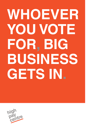# **WHOEVER YOU VOTE FOR, BIG BUSINESS GETS IN.**

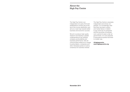## About the High Pay Centre

The High Pay Centre is an independent non-party think tank established to monitor pay at the top of the income distribution and set out a road map towards better business and economic success.

We aim to produce high quality research and develop a greater understanding of top rewards, company accountability and business performance. We will communicate evidence for change to policymakers, companies and other interested parties to build a consensus for business renewal.

The High Pay Centre is resolutely independent and strictly nonpartisan. It is increasingly clear that there has been a policy and market failure in relation to pay at the top of companies and the structures of business over a period of years under all governments. It is now essential to persuade all parties that there is a better way.

**@highpaycentre www.highpaycentre.org**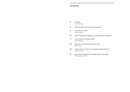## **Contents**

| 6  | Foreword<br>Luke Hildyard                                                |
|----|--------------------------------------------------------------------------|
| 8  | What the public thinks about corporate power                             |
| 11 | The power of an idea<br>Simon Caulkin                                    |
| 14 | Some companies are bigger than countries' entire economies               |
| 17 | How to burst the business bubble<br>Dina Medland                         |
| 20 | What can we do about the revolving door?<br>Stefan Stern                 |
| 23 | A quiet word in your ear: how companies lobby parliament<br>Tamasin Cave |
|    |                                                                          |

**27** Democracy threatened by corporate capture of tax policy Richard Murphy FCA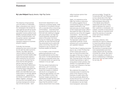## Foreword

#### **By Luke Hildyard** Deputy director, High Pay Centre

The influence of big business over UK politics is undeniable. Major corporations own most of the newspapers that dictate the news agenda and still act as the filter through which much of the population receive political news. Wealthy business people are key funders of political parties and the parties' election campaigns and research and media operations depend on business people's support.

Culturally, the business perspective has come to be seen as one with the wider economic interest. Tony Blair said that Labour's failure to identify any supportive business leaders after nearly 40 executives signed a letter endorsing Tory economic plans was the moment that he knew that the 2010 general election was lost for Labour. During the Scottish Referendum, business leaders from sectors including finance (Standard Life, Lloyds and RBS); oil (BP and Shell); and retail (Morrisons and Asda) spoke out strongly against independence – apparently at the behest of politicians from the 'Better Together' campaign. As more and more people with a business background colonise key civil service posts – each

Government department is now chaired by a business leader, while recruitment of consultants imbued with a corporate ethos is becoming commonplace – corporate power becomes further entrenched. As a think-tank also seeking to engage with policymakers, the High Pay Centre frequently witnesses the extent of this power first-hand. During one meeting with a leading politician we were told that though they personally found a particular policy convincing, they were not prepared to say so publicly until business leaders do likewise.

It is no longer a case of business petitioning politicians to win favourable policies but the other way round. It is less appropriate to talk about a corporate power than of corporate power as a governing institution in its own right.

This has radical implications for democracy, yet it is scarcely discussed. On numerous policy issues from taxation to relations with the EU to immigration to cutting the gap between rich and poor, the position to which 'big business' largely subscribes is significantly at odds with the wider public. It is certainly possible to argue that the policies in each area by Government more closely

reflect business opinion than public opinion.

Again, our experience at the High Pay Centre is instructive. Our polling suggests that an overwhelming majority of people support proposals to cap executive pay at a fixed multiple of their lowest-paid worker. When I discussed the idea on Sky News – owned by one of the UK's biggest corporations – the interviewer suggested, probably correctly, that it was 'never going to happen.' The Spectator noted that no mainstream politician 'would embrace such a provocatively anti-capitalist measure.'

That the idea of capping executive pay at, say, a mere 75 times that of their lowest-paid worker is seen as more provocative than pay gaps of that size or larger, is perhaps worrying. But the issue with corporate power is less about whether big business is right or wrong about certain policies, than whether it is sustainable for them to exert such influence in the face of public opinion.

We undertook this project on corporate power to examine the extent of the influence of big business on public policy and how this practically affects the society that we live in, as well as asking how the political power of corporations can be made more transparent, democratic

and accountable. Though the Conservative MP John Redwood is not a natural ally of the High Pay Centre, his recent argument that businesses intervening in the debate about Britain's relationship with the EU rarely seek to represent the views of their customers or employees, but instead, a handful of executives at the top, makes an important point about the exercise of corporate power and whose interests it really reflects.

Our essay collection, then, examines the case for measures to check the political influence of big business and corporate governance reforms to make the exercise of corporate power more representative and more closely aligned with the interests of society as a whole. We hope it will be a valuable contribution in terms of addressing a challenge to democracy that has been shirked for too long.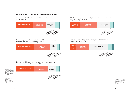## **What the public thinks about corporate power**

Do you think that big businesses have too much power over the government<sup>1</sup>



In general, do you think politicians put the interests of big business over those of ordinary people?2



Do you think big business has too much power over the everyday lives of ordinary people?3



Whichever party wins the next general election needs to be tougher on big business<sup>4</sup>



I would be more likely to vote for a political party if it was tougher on big business<sup>5</sup>



4 Populus poll, Apr 23- 27 2014. 4,111 people surveyed online 5 Populus poll Apr 23- 27 2014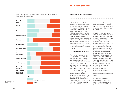surveyed online

# The Power of an idea

**By Simon Caulkin Business writer** 

#### How much do you trust each of the following to behave ethically, honestly and responsibly? 6



#### In his brilliant history of US business education, *From Higher Aims to Hired Hands*, Rakesh Khurana wrote: 'The development of economic institutions… is not simply a function of their efficiency; rather it often results from the outcome of contests in the legal, political, social, and cultural realms'. There could be no better case study than the doctrine of maximising shareholder value (MSV), the cornerstone of modern corporate governance, and one of its major consequences, runaway

#### **The rise of shareholder value**

CEO pay.

The chain of events began on 13 September 1970 – the date, according to Dominic Barton, global managing director of McKinsey, that capitalism started veering off track – with the publication by the New York Times of Milton Friedman's essay, 'The Social Responsibility of Business is to Increase its Profits'. 'In a free-enterprise, privateproperty system,' Friedman wrote, 'a corporate executive is an employee of the owners of the business [ie shareholders]. He has direct responsibility to his employers. That responsibility is to conduct the business in

accordance with their desires, which generally will be to make as much money as possible while conforming to their basic rules of the society.'

In fact, this is wrong in every particular. In law, managers aren't employees of shareholders, who don't own the business. Firms are separate legal entities that own themselves, employ directors and executives, and to whom the latter owe fiduciary duty. Yet by the turn of the century the then new idea that the single purpose of corporations was to maximise returns for shareholders had acquired the status of holy writ. The purpose of the corporation, it was claimed, was definitively settled, and the rest of the world would soon fall in line with the US. How did this transformation come about? Channelling Khurana, it has remarkably little to do with empirical effectiveness and everything with institutional ambition, opportunism and unintended consequences. It was an idea perfectly in tune with its time.

Six years later, Friedman's ideas took a giant step towards hegemony with the publication by Michael Jensen and William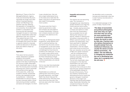Meckling of 'Theory of the Firm: Managerial Behavior, Agency Costs and Ownership Structure', reportedly the single most cited article in business literature. Jensen and Meckling's main assertion was that, following the separation of management and ownership, the fundamental problem in corporations was ensuring that self-interested managers focused on maximising value for shareholders rather than attending to their own concerns. They argued that part of the answer was suitable incentivisation of managers (the carrot); the other a vigorous market for corporate control (ie takeovers) to discipline those who failed to shape up (the stick).

#### **Application**

Their piece met two powerful needs. Desperate to establish academic and scientific credentials, business academics seized on the idea of optimising the firm around a single measurable point, shareholder value, to do just that. The ensuing wave of scholarly theorizing soon came to dominate the business-school agenda. At the same time, unlike most academic theories, shareholder primacy also appealed strongly to practitioners – institutional shareholders for obvious reasons, but also corporate raiders, whose restructuring activities it justified, and above all managers, for whom

it was a double boon. Not only did a single mathematical focus on the share price make their life easier; tying pay to its performance also made it incomparably more lucrative.

The pieces were then fixed in place by governance codes and company law articulated to increase shareholders' influence over company boards and make managers more attentive to the share price.

In this way, an ideologically-based programme, purely abstract and with no empirical backing, has wormed its way into every crevice of management, to the point where it, and its assumptions, are not only unchallenged but have become invisible to the naked eye. It is rare for a week to pass without some commentator declaring (as during the Pfizer-AstraZeneca merger saga), 'as owners of the company, it will be shareholders who decide in the end.'

Yet it is now clear that shareholder primacy doesn't work even in its own terms.

Shareholders as a whole are suffering their worst returns since the great depression, and Roger Martin has shown that over the whole period since 1970 they have done worse than they did in the post-war years when their interests *weren't* put first.

#### **Inequality and economic pathology**

The reasons are now becoming clear. The 'revolution in management pay' described by Andrew Smithers at an High Pay Centre seminar some months ago – broadly, paying executives in shares and options to make them think like shareholders – has succeeded only too well. Altering their behaviour with alacrity, instead of 'retaining and reinvesting' corporate profits, in William Lazonick's phrase, to the benefit of all stakeholders, they have used them to 'distribute and downsize', prioritising shareholders. That did indeed push share prices up (and thus their own rewards), but at the cost of R&D and capital investment – with the consequences for the wider economy, including widening inequality, that we are wrestling with today. The link with shareholder value, consequent on the idea that shareholders own and control companies, is the hidden mechanism that continues to drive executive pay upward irrespective of the pathologies inflicted on the rest of the economy. This is why Smithers maintained that dismantling the bonus culture that governs managers' investment decisions is the single most important task facing policymakers today. Shareholder ownership, the concept launched on the world by Friedman in 1970, is where

the demolition work on executive bonuses and shareholder value has to start if serious reconstruction is to take place.

In a celebrated passage on the power of ideas, Keynes wrote:

*'The ideas of economists and political philosophers, both when they are right and when they are wrong, are more powerful than is commonly understood. Indeed, the world is ruled by little else. Practical men, who believe themselves to be quite exempt from any*  **intellectual influences, are**  *usually the slaves of some defunct economist...' He*  **added: 'The real difficulty**  *in changing any enterprise lies not in developing new ideas, but in escaping from the old ones.'*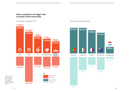## **Some companies are bigger than countries' entire economies**

UK's biggest companies 2014<sup>7</sup> Countries and their economies





 $14$  and the set of the set of the set of the set of the set of the set of the set of the set of the set of the set of the set of the set of the set of the set of the set of the set of the set of the set of the set of the

fdee-11e3-bd0e-00144feab7de.

rounded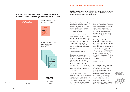## **A FTSE 100 chief executive takes home more in three days than an average worker gets in a year8**

CEO EARNS £30,000

## How to burst the business bubble

**By Dina Medland** An independent writer, editor and commentator with a strong focus on corporate governance, the boardroom and better business *www.dinamedland.com*

A great deal has been said since the financial crisis about the absence of trust in publicly listed companies. Not much has been said on the impact this could have on corporate power.

But as business has come under greater scrutiny, so has its attitude to corporate governance – which is meant, under the UK's 'comply or explain' regime, to be a standard of behaviour to which business should conform or explain to their shareholders why they are not.

#### **Governance and values**

Corporate governance can be the 'glue' that holds the business together, that sets a much vaunted 'tone from the top' and acts as the anchor for the direction of the business. But the nature of 'comply or explain' means it can also be used as a screen behind which the company operates on a daily basis.

This 'screen' shielding the thinkings of the boardroom may be lifted only rarely in conversations with institutional investors or during evaluations of the board as part of a review and succession planning process. These are

recommended every three years by the UK Corporate Governance Code. But the way in which they occur in reality is dictated by each business itself – Tesco, the UK's biggest retailer, had just one externally facilitated board evaluation in 10 years, under three years ago.<sup>9</sup>

This ability of UK plc to control and project its own image has contributed to its corporate power, to its capacity to speak loud and clear – whether it is to government, to media, or to its shareholders. But what happens if the corporate governance 'glue' starts to dry up, and there is no longer a coherent identifiable set of values and beliefs behind the running of a company?

#### **Trust in business**

The overwhelming lack of public trust in business has been exacerbated by indications that executive pay seems to be dictated in a world of its own, and be self-perpetuating, as demonstrated in the latest report from the High Pay Centre.<sup>10</sup> It is one example of a growing 'disconnect' between UK plc boardrooms and the rest of society. The fact that a FTSE350 director's

<sup>9</sup> http://www.forbes. com/sites/dinamedland/2014/10/24/ tescos-meltdownshines-a-light-onboard-evaluation/ 10 http://highpaycentre. org/pubs/new-highpay-centre-report-performance-related-payis-nothing-of-the-sort

highpaycentre.org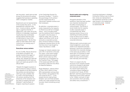pay has grown nearly twice as fast as pay for all full-time UK workers suggests that business is operating within a dangerous 'bubble.'

Boardrooms are not representative of the society they serve – or the geographical customers they woo - in terms of ethnic, gender, age or cognitive diversity. In digital 2014, with cyber risk at the forefront of challenges, boardroom headhunters feel comfortable saying publicly that they have no idea where or how to find "appropriate talent." By this they seem to mean talent which also conforms to an existing way of doing things.

#### **Executives versus workers**

Sir Jon Cunliffe, Deputy Governor of the Bank of England, has spoken recently once again of the UK's 'productivity puzzle,' asking 'why, despite this rapid fall in unemployment to 6% have we seen such weak pay growth in the official data?'

"Despite the biggest squeeze on real incomes for nearly a century, there appears to be little evidence that workers are demanding a catch-up in pay, possibly due to a shift in the psychology of UK workers resulting from the sharpness of the recession and the years of austerity that have followed it" said the Bank of England, reporting his speech

to the Cambridge Society For Economic Pluralism.11 "A shift in the pyschology of UK workers," sounds suspiciously like a 'disconnect' between workers and their employers.

By definition, corporate power is surely measured by the capacity to influence as well as to engage others – and it includes power over the workforce that is creating the wealth in the first place. It might be useful, then, to look at Jaguar Land Rover (JLR), by all accounts a corporate success story. At time of writing it is facing threatened industrial action for the first time since it was bought by India's Tata Motors in 2008.

Average car industry salaries rose just 2.3% in real terms in the past four years- a time when foreignowned manufacturers pushed British vehicle output up 45%, according to an investigation by the Financial Times. The wages of the lowest paid 30% fell 7.5%, according to data from the Office for National Statistics.

Roger Maddison, national officer at Unite, which claims to have 98% representation among shop floor workers, was quoted on the JLR unrest by the FT.12 "If the people that are making these fantastic cars and these fantastic profits can't really benefit from that success, there's something wrong" he said.

#### **Social media and re-aligning corporate power**

Alongside alienation of the workforce, there has been another very important development: the effect of technology on communication. The arrival of social media has the capacity to alter corporate power in a fundamental way. While business tends to focus on its marketing and sales potential, it has not done much to reflect on the power of social media on corporate behaviour.

Offering rapid communication and instant judgement, social media needs to be respected precisely because it cannot be controlled or channelled into corporate strategy in the same way as before. In the same spirit, for business to retain corporate power it needs much better two-way communication, both internally and externally.

There is no reason why the structure of UK company boards cannot be changed to generate this improved communication. At a recent event held by the consultancy Board Intelligence to explore such issues, Sir Win Bischoff, chairman of the Financial Reporting Council (FRC) referred to the "hidden rule book of habit and convention which pervades and stifles many a boardroom."<sup>13</sup>

Involving employees in strategic thinking by finding a way to ensure their voices are represented in the boardroom would be a critical step forward in the realignment of corporate power - towards its stakeholders.

> 13 http://www.forbes. com/sites/dinamedland/2014/08/31/ rethinking-the-hiddenrule-book-of-habit-forboardrooms-and-theneed-for-cake/

11 http://www. bankofengland.co.uk/ publications/Documents/speeches/2014/ speech773.pdf 812 http://www.ft.com/ cms/s/0/e7989dd4- 5f4f-11e4-986c-00144feabdc0. html#axzz3HWs8Mk3r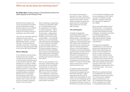**By Stefan Stern** Visiting professor at Cass Business School who writes regularly for the Financial Times

When the former lobbyist and now EU Commissioner Jonathan (Lord) Hill attended his initial Brussels hearing in front of MEPs at the European parliament in October, the reaction among his questioners was rather similar.

"You show an impressive rhetorical brilliance, but also a lack of substance," declared the German MEP Michael Theurer. Lord Hill had been "charmant mais pas vraiment convaincant", (charming, but not very convincing) according to the French MEP Sylvie Goulard.

#### **What is lobbying?**

If only lobbyists remained forever charmant mais pas vraiment convaincant no-one would be too concerned about what they got up to. But almost by definition, what lobbyists do in private on behalf of corporate clients does provoke scepticism at best and, at times, profound cynicism. In spite of calls for transparency and repeated questioning about an apparent fast-track (or is it a revolving door?) between public office and the private sector, the public remains more or less in the dark as to the full extent of lobbying activity, in the UK at least.

What is lobbying, anyway? Must it always be problematic? After all, it is good practice within an organisation for managers to consult employees – that is, genuinely listen to and reflect on their views – before taking decisions that will affect them. Similarly, governments usually consult widely – or at least say that they are consulting widely – before introducing new legislation. It is only natural for businesses, as well as charities, pressure groups and trades unions, to try to influence decision makers in government to their advantage. And as long as that lobbying took place openly, with no financial or other enticements being offered, perhaps there would be nothing to worry about.

When he was chancellor of the exchequer, Alistair Darling used to tell anyone who would listen that there was no need to hire a lobbying firm to try to get his attention or that of his advisers. Why not just write him a letter? A bit of stationery, a stamp and some writing time could save you thousands on that annual retainer to Glib, Oily and Plausible Ltd, public affairs consultants.

But the fact is that there are grounds for concern. While the UK may have nothing like the big political money seen in the US, relations between business and government are complicated, highly interwoven and quite often troubling.

#### **The revolving door**

Consider the apparently unavoidable intertwining of the big four audit firms and the political parties. The parties need support in researching data and analysing it. Seconding staff might offer useful career development opportunities and could even be seen as a socially responsible thing to do. But what happens if the party you have been helping in opposition gets into government? Will (subtle) pressure be put on officials to encourage them to hire consultants from the same audit firm? Will inside knowledge be exploited and will favours be called in? It could be hard to draw neat and clear lines on what is proper and what is not.

An extreme case of this overlap between government and the private sector emerged last year, when Dave Hartnett, a highly regarded career lifer and tax expert at the Inland Revenue, took a senior job with Deloitte as well as an advisory role with HSBC. There are explicit restrictions in place on Mr Hartnett to prevent him drawing

on his specialist knowledge to help his new employers or their clients, and also on his ability to lobby officials or ministers personally for a year after his departure from HMRC.

But as a Guardian leader column noted last year: "In its emphasis on avoiding personal lobbying of ministers and advisers by former colleagues, the advisory committee on business appointments pays too little attention to how they might otherwise massage relations between a company and Whitehall."

This grey area is altogether unsatisfactory. On the one hand, government might benefit from private sector experience and advice, and the possibility of a switch or return to the private sector for public officials should probably not be ruled out. And yet in practice there must be concern that in some cases improper use of information gleaned at tax payers' expense will be made. This is a gamekeeper-turned-poacher world in which the public – the country – could suffer.

Mirko Draca, assistant professor in the department of economics at Warwick University, has studied the "revolving door" between politics and business in the US. He estimates that having a former colleague as a contact in congressional politics adds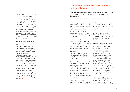around \$75,000 to your value as an employee in a lobbying firm. This is, as he puts it, "politicianspecific human capital". Will this obvious financial incentive to go into politics in the first place attract the wrong sort of people into it, he asks. In the US, is money simply buying access and support for the "right sort" of candidates? And will public servants or elected politicians be tempted to take decisions with regard to a possible brilliant future career somewhere in the private sector?

#### **Boundaries and transparency**

Other questions remain. How, as the political philosopher Dean Machin from University College, London, asks, can we get hold of private sector expertise without the worrying element of undue influence? Greater and more meaningful transparency must be part of the answer (see Tamasin Cave article). Stricter demarcation of which private sector roles might or might not be acceptable for former public servants could help.

And Jekhan Aruliah of the Ripped Off Britons web-site raises another pertinent and rarely asked question: "Who lobbies for ordinary people?" Perhaps the people need to hire a lobbying firm, too.  $\blacksquare$ 

## A quiet word in your ear: how companies lobby parliament

**By Tamasin Cave** director of Spinwatch and co-author of A Quiet Word: Lobbying, Crony Capitalism and Broken Politics in Britain (Bodley Head, 2014)

In the lead up to the 2010 general election, David Cameron made a pitch to the electorate that spoke directly to voter frustration with our broken political system. Lobbying, he said, specifically "secret corporate lobbying.... goes to the heart of why people are so fed up with politics."

He spoke of our "fears and suspicions" about how our political system works, with "money buying power, power fishing for money and a cosy club at the top making decisions in their own interest".

"We all know how it works," he confidently assumed, before calling up the image of private negotiations over lunch, behind closed doors.

But do we all know how it works? Lobbyists, the paid persuaders whose job it is to influence the decisions of government, typically stay out of the limelight. As one notes: "The influence of lobbyists increases when . . . it goes largely unnoticed by the public." Lobbying is most effective when secret.

Only occasionally, through exposure in the media, do we get to see how it works. Outside of

the Westminster/Whitehall bubble, the UK's estimated £2 billion commercial lobbying industry, the third largest in the world, is largely a known unknown.

Yet there is nothing mysterious about lobbying. The influence lobbyists enjoy is constructed very consciously using a shared set of tactics.

#### **Capture of whole departments**

First, lobbyists commonly hire political insiders to facilitate access to, and knowledge of, government. Google's lobbying team, for example, counts an old member of Cameron's inner circle, an aide to Clegg, the daughter of the PM's neighbour and an ex-advisor to Jeremy Hunt during his stint in charge of internet regulation. The so-called revolving door between corporate interests and the political class has resulted in whole departments – notably defence and health – now being captured by business and market values.

Lobbyists also regularly shape public debates through the media, feeding it information they want politicians to see and keeping out inconvenient facts they would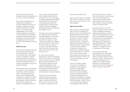rather they didn't (a skill that lobbyists have also mastered when it comes to online information).

Also central to lobbying is the engineering of support for business-friendly policies by, for example, creating or enlisting credible third parties, like think tanks, to act as arms-length spokespeople. The nuclear industry spreads its messages "via third party opinion because the public would be suspicious if we started ramming pro-nuclear messages down their throats," as one nuclear lobbyist succinctly put it.

#### **Divide and rule**

Then there are lobbyists who deal with what they term 'the antis', or their opponents. These will be monitored and if they present a threat, countered or nullified through a variety of techniques, from divide-and-rule tactics to the infiltration (otherwise known as spying) of opposition groups, like environmentalists.

All this takes money. Yet lobbying is not seen a cost, but rather an investment, one that delivers a return. Lobbying has become another way of making money, whether from heading off a threat to profits (for example, pushing back against curbs on particular products like cigarettes, or alcohol) or applying pressure to

open up new markets (take the recent health service reforms). One study in the US, where data on lobbying spending is available, estimates that from an annual corporate lobbying spend of roughly \$3.5bn, the value of the resulting corporate subsidies alone secured through lobbying is about \$90bn a year.

This goes a long way to explaining why lobbying is dominated by corporate interests. It is certainly true that others also make an investment in lobbying – trade unions and charities, for instance – yet their influence is often limited. There has been, for instance, no equal or equivalent counter lobby to the UK's powerful bank lobby either before or since the financial crisis.

So, when David Cameron described for voters how lobbying works: "the lunches, the hospitality, the quiet word in your ear," he was giving us the abridged version. The last thirty years have seen unprecedented growth in the reach of the lobbying industry and its penetration into government, the sophistication of its tactics, and the amount of money involved.

The result is that commercial lobbyists acting for particular, narrow interests have bent our system of government to their will to such an extent that it can be said to no longer serve the

interests of the wider public.

'We can't go on like this,' Cameron said in back in February 2010. But, how do you "sort it all out", as he then pledged?

#### **Open up to scrutiny**

One crucial, but straightforward step is to open up lobbying to public scrutiny. Force professional (paid) lobbyists to declare their activities on a quarterly register, as they do in the US, Canada, Brussels, and other countries around the world. A register of lobbyists lets people see who is influencing whom in government, and what they are seeking to influence, whether that is lobbying for tax breaks, against environmental laws, or over NHS policy. At the moment, these conversations are being had, but behind closed doors. Open it up and we can all take part in the conversation.

From the Canadian register, we can see, for example, a breakdown of the lobbying activities of Philip Morris International (PMI). We even know the individual meetings the tobacco giant has held, for instance, with advisers to the Canadian Prime Minister. In Britain, we know only that a key adviser to the Prime Minister, Lynton Crosby, is at the same time a lobbyistfor-hire paid by PMI. Even this

information was hard to extract. Who he is talking to, we are barred from knowing. We Brits must make do with assurances from David Cameron that he had not been lobbied by his own election adviser on behalf of PMI.

Nor are we likely to in the near future. Four years after the current coalition pledged to introduce lobbying transparency, what we were in fact presented with in early 2014 is a genuinely fake register of lobbyists. This was Parliament's reaction to the government's Transparency of Lobbying bill: 'glaringly inadequate', 'it opens up Parliament to ridicule and suspicion', 'disingenuous' and 'contemptuous of the public'.

If the political class were previously aware of voter anger with the British political system, today this anger threatens to kick them out of office. The dominance of corporate lobbyists in our system is one major source of frustration, but still politicians decide to stick with the status quo, which is to favour secrecy.  $\blacksquare$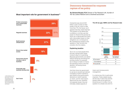## Democracy threatened by corporate capture of tax policy

**By Richard Murphy FCA** Director of Tax Research UK, founder of the Tax Justice Network and a chartered accountant

Companies pay around £40 billion a year in taxes on their profits in the UK, which is little more than 7% of all taxes, but it appears that they resent that fact. The question to be asked then is whether or not they use their power to influence the process by which tax is demanded from them. with a favourable impact on their obligations as a consequence. My unambiguous answer to this question is 'yes' but let's first consider why this matters.

### **Explaining taxation**

Tax is not, as most people think, the way a government raises money to pay for its spending. Because governments can spend without taxing (by borrowing and printing money, for example) tax is always a matter of choice: the spending choice is the first decision, the taxing choice is second.

And that choice by government to use tax to recover part (almost invariably) of what it spends is also linked to the government's decisions on what it spends, on whom, and for what reason. Spend and tax are, therefore, not separate issues: they are intimately related aspects of

#### **The UK tax gap: HMRC and Tax Research data**



macro and microeconomic management.

In a democracy this is particularly important. These related issues are the way in which the choices people make at the ballot box should be put in to effect. So my question is a simple one and it is

## Most important role for government in business<sup>14</sup>



summary/)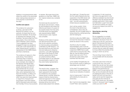whether or not governments really reflect the wishes of the electorate when making these decisions or if the process is subverted on the way?

#### **Conflict and capture**

The evidence for subversion is strong. Let's start at HM Revenue & Customs, our tax authority. Its board has five nonexecutive members. All are there to represent the interests of big business. Two are ex Big Four Firm accountants. One is the former CEO of Npower, which company I have suggested has been engaged in major tax avoidance in the past. Quite specifically, no other interest group in society is represented on the HMRC Board, and that is intentional.

The evidence of capture is, then quite strong. That evidence continues when it comes to the creation of tax policy. Take as an example, the creation of the General Anti-Abuse Rule, passed last year. The panel of people advising were all from big business bar me, as one of the major proponents of the idea, and a representative from Save the Children, to reflect civil engagement on this issue. The other nine were from big business, or large firms of lawyers and accountants, and most support staff to that panel were seconded from the Big 4 firms of accountants or lawyers. We wrote most of the guidance on that Rule. HMRC did not. Capture looked very complete to me.

And what was the outcome? An anti-abuse rule (not even, I stress, an anti-avoidance rule) where the effective permission of a panel of tax experts drawn from the ranks of private sector tax specialists was required before HMRC could pursue a case. Capture was complete.

Evidence of this state of capture can also be found when you look at who submits comments on most tax policy consultations undertaken by HM Treasury: it is the same big firms who have the time and resource to influence outcomes. Lord Joffe highlighted this issue in the House of Lords recently, saying that the House of Lords Economics Affairs Committee report on tax reflected the submissions made to it, but they were hardly representative.

#### **Threat to democracy**

The result is that, I suggest, that a key element of democracy has been captured for the benefit of a limited but very powerful interest group in society. What this means is that the chance that a balanced approach on this subject is very hard to maintain precisely because all but one voice is almost totally absent from debate.

You might say I, Private Eye and the Tax Justice Network plus key supporters in the NGO sector are the upholders of the alternative view – but with extraordinarily limited resource available to us.

And I will be candid: I think the result is that democracy is threatened. This is why, for example, the UK's budget deficit is being closed by cutting spending and not raising tax.

And this is also why HMRC does not have the resources it needs to tackle tax abuse in this country.

And this is why it is widely acknowledged, even in the tax profession, that big business gets a deal from HMRC that is quite unlike that for everyone else. Why, after all, has the large business sector had a tax cut of 7% in the last four years when small business has had none?

Is this healthy? Empathically not. One economic sector is getting an advantage over all others.

Is this wise? I'd suggest that to listen to one voice in isolation can never be an indication of wisdom.

And is it democratic? I think that self evidently it's more akin to plutocracy.

But, if we're to be pragmatic, does it work? Here I ask a question

in response: if it did, would we still have a tax gap (which is the difference between tax that should be paid in the UK and the amount actually paid) which I think might be £100 billion a year? And would we still have austerity as a goal. not just as a means to an end? I'd suggest not.

#### **Securing tax, securing democracy**

So my suggestion is a simple one and that is that we need to re-think the structure of how we collect tax in the UK, and how we govern that process from top to bottom to make sure that tax's role at the heart of democracy and the choices that are made with regard to it truly reflect the priorities of the society in which we all live.

The one thing I know is that this is not possible with the structures we have.

And what I also know is that we could do this very, very much better then we do now. But unless we invest in a truly representative basis for the governance of HMRC, and in its own staff so that they can be entrusted with the job of creating tax policy in the UK on behalf of all who live here then I really cannot see this happening. And what are the chances of that? That's where you, the reader comes in, because it won't happen unless you want it to.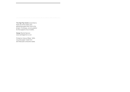The High Pay Centre would like to thank all of the writers who generously gave their time to the project. As always, we are grateful for the support of our funders.

Design Rachel Gannon www.rachelgannon.co.uk

Printed on Cylcus Offset; 100% recycled paper made from de-inked post consumer waste.